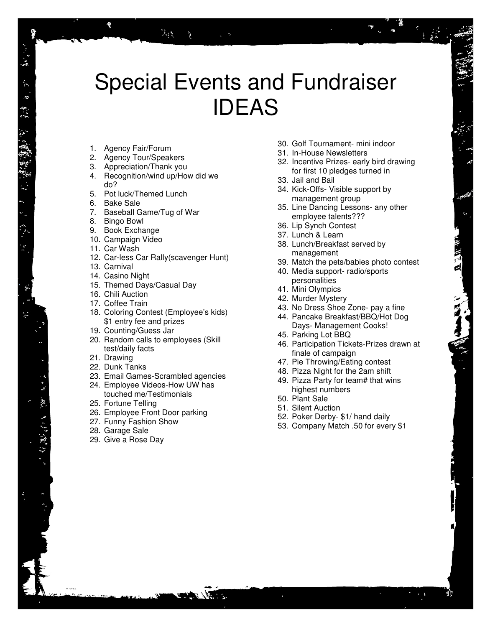# Special Events and Fundraiser IDEAS

- 1. Agency Fair/Forum
- 2. Agency Tour/Speakers
- 3. Appreciation/Thank you
- 4. Recognition/wind up/How did we do?

 $\mathcal{V}_{\mathcal{A}}$  )

- 5. Pot luck/Themed Lunch
- 6. Bake Sale
- 7. Baseball Game/Tug of War
- 8. Bingo Bowl
- 9. Book Exchange
- 10. Campaign Video
- 11. Car Wash
- 12. Car-less Car Rally(scavenger Hunt)
- 13. Carnival
- 14. Casino Night
- 15. Themed Days/Casual Day
- 16. Chili Auction
- 17. Coffee Train
- 18. Coloring Contest (Employee's kids) \$1 entry fee and prizes
- 19. Counting/Guess Jar
- 20. Random calls to employees (Skill test/daily facts
- 21. Drawing
- 22. Dunk Tanks
- 23. Email Games-Scrambled agencies
- 24. Employee Videos-How UW has touched me/Testimonials
- 25. Fortune Telling
- 26. Employee Front Door parking
- 27. Funny Fashion Show
- 28. Garage Sale
- 29. Give a Rose Day
- 30. Golf Tournament- mini indoor
- 31. In-House Newsletters
- 32. Incentive Prizes- early bird drawing for first 10 pledges turned in
- 33. Jail and Bail
- 34. Kick-Offs- Visible support by management group
- 35. Line Dancing Lessons- any other employee talents???
- 36. Lip Synch Contest
- 37. Lunch & Learn
- 38. Lunch/Breakfast served by management
- 39. Match the pets/babies photo contest
- 40. Media support- radio/sports personalities
- 41. Mini Olympics
- 42. Murder Mystery
- 43. No Dress Shoe Zone- pay a fine
- 44. Pancake Breakfast/BBQ/Hot Dog Days- Management Cooks!
- 45. Parking Lot BBQ
- 46. Participation Tickets-Prizes drawn at finale of campaign
- 47. Pie Throwing/Eating contest
- 48. Pizza Night for the 2am shift
- 49. Pizza Party for team# that wins highest numbers
- 50. Plant Sale
- 51. Silent Auction
- 52. Poker Derby- \$1/ hand daily
- 53. Company Match .50 for every \$1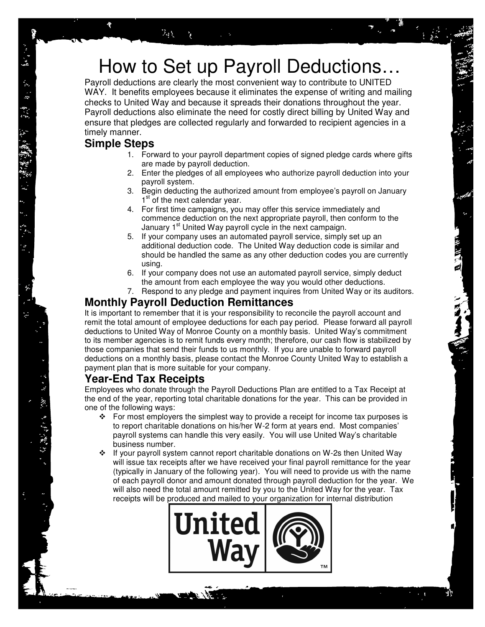## How to Set up Payroll Deductions…

Payroll deductions are clearly the most convenient way to contribute to UNITED WAY. It benefits employees because it eliminates the expense of writing and mailing checks to United Way and because it spreads their donations throughout the year. Payroll deductions also eliminate the need for costly direct billing by United Way and ensure that pledges are collected regularly and forwarded to recipient agencies in a timely manner.

#### **Simple Steps**

- 1. Forward to your payroll department copies of signed pledge cards where gifts are made by payroll deduction.
- 2. Enter the pledges of all employees who authorize payroll deduction into your payroll system.
- 3. Begin deducting the authorized amount from employee's payroll on January 1<sup>st</sup> of the next calendar year.
- 4. For first time campaigns, you may offer this service immediately and commence deduction on the next appropriate payroll, then conform to the January 1<sup>st</sup> United Way payroll cycle in the next campaign.
- 5. If your company uses an automated payroll service, simply set up an additional deduction code. The United Way deduction code is similar and should be handled the same as any other deduction codes you are currently using.
- 6. If your company does not use an automated payroll service, simply deduct the amount from each employee the way you would other deductions.
- 7. Respond to any pledge and payment inquires from United Way or its auditors.

### **Monthly Payroll Deduction Remittances**

It is important to remember that it is your responsibility to reconcile the payroll account and remit the total amount of employee deductions for each pay period. Please forward all payroll deductions to United Way of Monroe County on a monthly basis. United Way's commitment to its member agencies is to remit funds every month; therefore, our cash flow is stabilized by those companies that send their funds to us monthly. If you are unable to forward payroll deductions on a monthly basis, please contact the Monroe County United Way to establish a payment plan that is more suitable for your company.

### **Year-End Tax Receipts**

Employees who donate through the Payroll Deductions Plan are entitled to a Tax Receipt at the end of the year, reporting total charitable donations for the year. This can be provided in one of the following ways:

- $\div$  For most employers the simplest way to provide a receipt for income tax purposes is to report charitable donations on his/her W-2 form at years end. Most companies' payroll systems can handle this very easily. You will use United Way's charitable business number.
- $\div$  If your payroll system cannot report charitable donations on W-2s then United Way will issue tax receipts after we have received your final payroll remittance for the year (typically in January of the following year). You will need to provide us with the name of each payroll donor and amount donated through payroll deduction for the year. We will also need the total amount remitted by you to the United Way for the year. Tax receipts will be produced and mailed to your organization for internal distribution

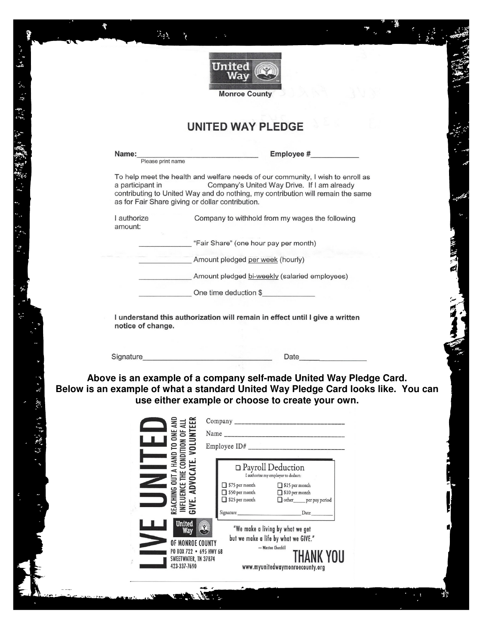

 $\Phi$ 

经经济 机橡胶螺旋转 超速 医单元

 $\sum_{i=1}^{n}$ 

يبغ

 $\mathbb{R}^3$ 

ħ

### **UNITED WAY PLEDGE**

|  | Name:<br>Please print name                                                                                                     | Employee #                                                                                                                                                                                                                                                                                                                                                                                                                                                                                                                                                                             |
|--|--------------------------------------------------------------------------------------------------------------------------------|----------------------------------------------------------------------------------------------------------------------------------------------------------------------------------------------------------------------------------------------------------------------------------------------------------------------------------------------------------------------------------------------------------------------------------------------------------------------------------------------------------------------------------------------------------------------------------------|
|  |                                                                                                                                |                                                                                                                                                                                                                                                                                                                                                                                                                                                                                                                                                                                        |
|  | a participant in                                                                                                               | To help meet the health and welfare needs of our community, I wish to enroll as<br>Company's United Way Drive. If I am already<br>contributing to United Way and do nothing, my contribution will remain the same<br>as for Fair Share giving or dollar contribution.                                                                                                                                                                                                                                                                                                                  |
|  | I authorize<br>amount:                                                                                                         | Company to withhold from my wages the following                                                                                                                                                                                                                                                                                                                                                                                                                                                                                                                                        |
|  |                                                                                                                                | "Fair Share" (one hour pay per month)                                                                                                                                                                                                                                                                                                                                                                                                                                                                                                                                                  |
|  |                                                                                                                                | Amount pledged per week (hourly)                                                                                                                                                                                                                                                                                                                                                                                                                                                                                                                                                       |
|  |                                                                                                                                | Amount pledged bi-weekly (salaried employees)                                                                                                                                                                                                                                                                                                                                                                                                                                                                                                                                          |
|  |                                                                                                                                | One time deduction \$                                                                                                                                                                                                                                                                                                                                                                                                                                                                                                                                                                  |
|  | notice of change.                                                                                                              | I understand this authorization will remain in effect until I give a written                                                                                                                                                                                                                                                                                                                                                                                                                                                                                                           |
|  |                                                                                                                                | Date experience and the set of the set of the set of the set of the set of the set of the set of the set of the set of the set of the set of the set of the set of the set of the set of the set of the set of the set of the                                                                                                                                                                                                                                                                                                                                                          |
|  |                                                                                                                                | Above is an example of a company self-made United Way Pledge Card.<br>Below is an example of what a standard United Way Pledge Card looks like. You can<br>use either example or choose to create your own.                                                                                                                                                                                                                                                                                                                                                                            |
|  | $\left.\bigcup_{M\in L} \bigwedge_{\text{OMI}} \prod_{\text{HAND TO ONE ANDWFLURE THE CONDITION OF ALLIVE. ANVOCATE. VOLUNTER$ | $\label{eq:optimal} \begin{tabular}{c} $\hspace{-.05cm}\Box$ \textbf{Payroll Deduction} \\ \textbf{I authorize my employer to deduct:} \end{tabular}$<br>◯ \$75 per month<br>◯ \$50 per month<br>\$15 per month<br>\$10 per month<br>$\Box$ \$25 per month<br>other per pay period<br>ne<br>≋ ≋<br>Signature<br>Date<br><b>United</b><br>"We make a living by what we get<br>Way<br>but we make a life by what we GIVE."<br>OF MONROE COUNTY<br>- Winston Churchill<br>PO BOX 722 . 695 HWY 68<br>THANK YOU<br>SWEETWATER, TN 37874<br>423-337-7690<br>www.myunitedwaymonroecounty.org |

 $\sum_{i=1}^n a_i$ 

والجفاز الجالي

 $\mathbf{z}$ 

뺛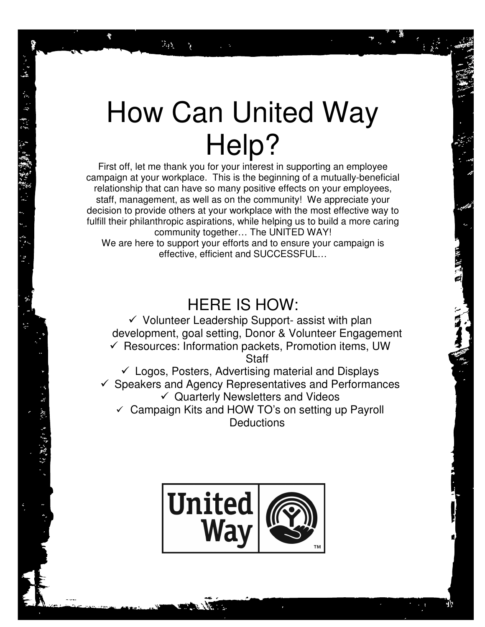# How Can United Way Help?

 $\mathcal{V}_{\text{eff}}$  )

3、深水 きょだ 演説 ひょう

First off, let me thank you for your interest in supporting an employee campaign at your workplace. This is the beginning of a mutually-beneficial relationship that can have so many positive effects on your employees, staff, management, as well as on the community! We appreciate your decision to provide others at your workplace with the most effective way to fulfill their philanthropic aspirations, while helping us to build a more caring community together… The UNITED WAY! We are here to support your efforts and to ensure your campaign is effective, efficient and SUCCESSFUL…

### HERE IS HOW:

- Volunteer Leadership Support- assist with plan development, goal setting, Donor & Volunteer Engagement - Resources: Information packets, Promotion items, UW

**Staff** 

- Logos, Posters, Advertising material and Displays - Speakers and Agency Representatives and Performances - Quarterly Newsletters and Videos  $\checkmark$  Campaign Kits and HOW TO's on setting up Payroll **Deductions** 

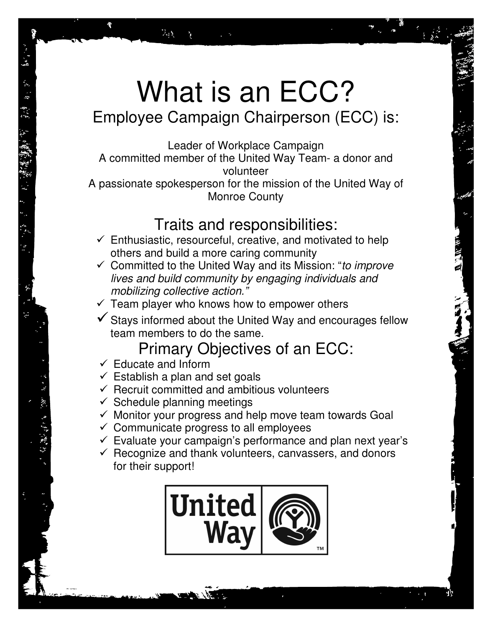# What is an ECC? Employee Campaign Chairperson (ECC) is:

Leader of Workplace Campaign A committed member of the United Way Team- a donor and volunteer

A passionate spokesperson for the mission of the United Way of Monroe County

### Traits and responsibilities:

- $\checkmark$  Enthusiastic, resourceful, creative, and motivated to help others and build a more caring community
- $\checkmark$  Committed to the United Way and its Mission: "to improve lives and build community by engaging individuals and mobilizing collective action."
- $\checkmark$  Team player who knows how to empower others
- -Stays informed about the United Way and encourages fellow team members to do the same.

## Primary Objectives of an ECC:

- Educate and Inform

 $\hat{\mathcal{I}}_{\rm d} \hat{\chi}$ 

- $\checkmark$  Establish a plan and set goals
- $\checkmark$  Recruit committed and ambitious volunteers
- $\checkmark$  Schedule planning meetings
- Monitor your progress and help move team towards Goal
- Communicate progress to all employees
- $\checkmark$  Evaluate your campaign's performance and plan next year's
- Recognize and thank volunteers, canvassers, and donors for their support!